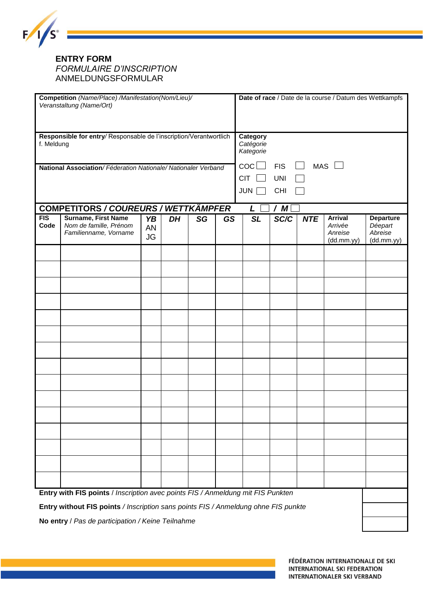

## **ENTRY FORM** *FORMULAIRE D'INSCRIPTION* ANMELDUNGSFORMULAR

| Competition (Name/Place) /Manifestation(Nom/Lieu)/<br>Veranstaltung (Name/Ort)  |                                                                                    |                       |    |    |           |  | Date of race / Date de la course / Datum des Wettkampfs |      |            |                                                    |                                                      |  |
|---------------------------------------------------------------------------------|------------------------------------------------------------------------------------|-----------------------|----|----|-----------|--|---------------------------------------------------------|------|------------|----------------------------------------------------|------------------------------------------------------|--|
| Responsible for entry/Responsable de l'inscription/Verantwortlich<br>f. Meldung |                                                                                    |                       |    |    |           |  | Category<br>Catégorie<br>Kategorie                      |      |            |                                                    |                                                      |  |
| National Association/Féderation Nationale/Nationaler Verband                    |                                                                                    |                       |    |    |           |  | $\cot \Box$<br>MAS L<br><b>FIS</b>                      |      |            |                                                    |                                                      |  |
|                                                                                 |                                                                                    |                       |    |    |           |  | <b>CIT</b><br><b>UNI</b>                                |      |            |                                                    |                                                      |  |
|                                                                                 |                                                                                    |                       |    |    |           |  | JUN  <br><b>CHI</b>                                     |      |            |                                                    |                                                      |  |
|                                                                                 | COMPETITORS / COUREURS / WETTKÄMPFER                                               |                       |    |    |           |  | /M<br>$\mathsf{L}$                                      |      |            |                                                    |                                                      |  |
| FIS<br>Code                                                                     | <b>Surname, First Name</b><br>Nom de famille, Prénom<br>Familienname, Vorname      | YB<br>AN<br><b>JG</b> | DH | SG | <b>GS</b> |  | <b>SL</b>                                               | SC/C | <b>NTE</b> | <b>Arrival</b><br>Arrivée<br>Anreise<br>(dd.mm.yy) | <b>Departure</b><br>Déepart<br>Abreise<br>(dd.mm.yy) |  |
|                                                                                 |                                                                                    |                       |    |    |           |  |                                                         |      |            |                                                    |                                                      |  |
|                                                                                 |                                                                                    |                       |    |    |           |  |                                                         |      |            |                                                    |                                                      |  |
|                                                                                 |                                                                                    |                       |    |    |           |  |                                                         |      |            |                                                    |                                                      |  |
|                                                                                 |                                                                                    |                       |    |    |           |  |                                                         |      |            |                                                    |                                                      |  |
|                                                                                 |                                                                                    |                       |    |    |           |  |                                                         |      |            |                                                    |                                                      |  |
|                                                                                 |                                                                                    |                       |    |    |           |  |                                                         |      |            |                                                    |                                                      |  |
|                                                                                 |                                                                                    |                       |    |    |           |  |                                                         |      |            |                                                    |                                                      |  |
|                                                                                 |                                                                                    |                       |    |    |           |  |                                                         |      |            |                                                    |                                                      |  |
|                                                                                 |                                                                                    |                       |    |    |           |  |                                                         |      |            |                                                    |                                                      |  |
|                                                                                 |                                                                                    |                       |    |    |           |  |                                                         |      |            |                                                    |                                                      |  |
|                                                                                 |                                                                                    |                       |    |    |           |  |                                                         |      |            |                                                    |                                                      |  |
|                                                                                 |                                                                                    |                       |    |    |           |  |                                                         |      |            |                                                    |                                                      |  |
|                                                                                 |                                                                                    |                       |    |    |           |  |                                                         |      |            |                                                    |                                                      |  |
|                                                                                 |                                                                                    |                       |    |    |           |  |                                                         |      |            |                                                    |                                                      |  |
|                                                                                 |                                                                                    |                       |    |    |           |  |                                                         |      |            |                                                    |                                                      |  |
|                                                                                 |                                                                                    |                       |    |    |           |  |                                                         |      |            |                                                    |                                                      |  |
| Entry with FIS points / Inscription avec points FIS / Anmeldung mit FIS Punkten |                                                                                    |                       |    |    |           |  |                                                         |      |            |                                                    |                                                      |  |
|                                                                                 | Entry without FIS points / Inscription sans points FIS / Anmeldung ohne FIS punkte |                       |    |    |           |  |                                                         |      |            |                                                    |                                                      |  |
| No entry / Pas de participation / Keine Teilnahme                               |                                                                                    |                       |    |    |           |  |                                                         |      |            |                                                    |                                                      |  |